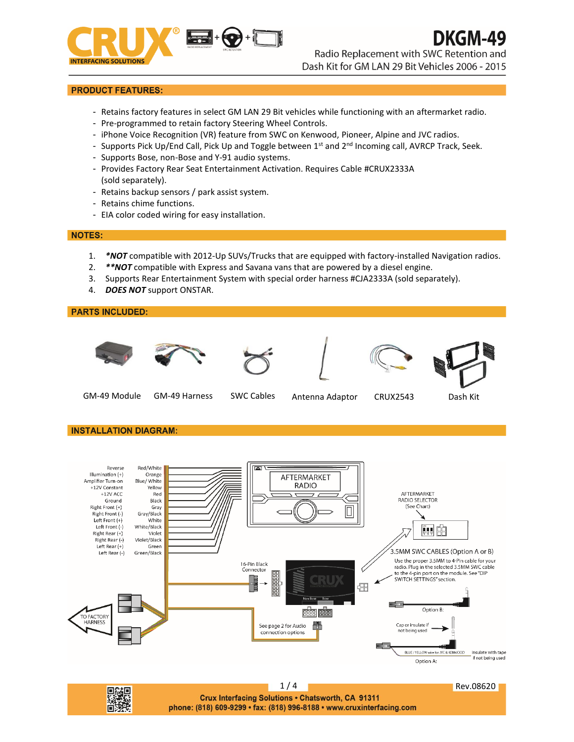

Radio Replacement with SWC Retention and

DKGM-49

Dash Kit for GM LAN 29 Bit Vehicles 2006 - 2015

## **PRODUCT FEATURES:**

- Retains factory features in select GM LAN 29 Bit vehicles while functioning with an aftermarket radio.
- Pre-programmed to retain factory Steering Wheel Controls.
- iPhone Voice Recognition (VR) feature from SWC on Kenwood, Pioneer, Alpine and JVC radios.
- Supports Pick Up/End Call, Pick Up and Toggle between 1<sup>st</sup> and 2<sup>nd</sup> Incoming call, AVRCP Track, Seek.
- Supports Bose, non-Bose and Y-91 audio systems.
- Provides Factory Rear Seat Entertainment Activation. Requires Cable #CRUX2333A (sold separately).
- Retains backup sensors / park assist system.
- Retains chime functions.
- EIA color coded wiring for easy installation.

#### **NOTES:**

- 1. *\*NOT* compatible with 2012-Up SUVs/Trucks that are equipped with factory-installed Navigation radios.
- 2. *\*\*NOT* compatible with Express and Savana vans that are powered by a diesel engine.
- 3. Supports Rear Entertainment System with special order harness #CJA2333A (sold separately).
- 4. *DOES NOT* support ONSTAR.

#### **PARTS INCLUDED:**













GM-49 Module GM-49 Harness SWC Cables Antenna Adaptor CRUX2543 Dash Kit

## **INSTALLATION DIAGRAM:**

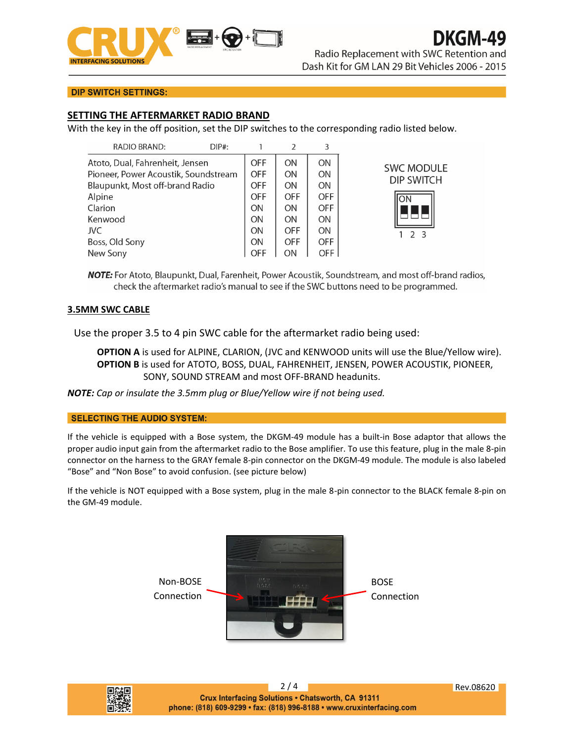

# DKGM-49

Radio Replacement with SWC Retention and Dash Kit for GM LAN 29 Bit Vehicles 2006 - 2015

## **DIP SWITCH SETTINGS:**

## **SETTING THE AFTERMARKET RADIO BRAND**

With the key in the off position, set the DIP switches to the corresponding radio listed below.

| RADIO BRAND:                                                            | $DIP#$ : |                          | C          |                 |                   |
|-------------------------------------------------------------------------|----------|--------------------------|------------|-----------------|-------------------|
| Atoto, Dual, Fahrenheit, Jensen<br>Pioneer, Power Acoustik, Soundstream |          | <b>OFF</b><br><b>OFF</b> | ON<br>ON   | <b>ON</b><br>ON | <b>SWC MODULE</b> |
| Blaupunkt, Most off-brand Radio                                         |          | <b>OFF</b>               | ΟN         | <b>ON</b>       | <b>DIP SWITCH</b> |
| Alpine                                                                  |          | <b>OFF</b>               | <b>OFF</b> | <b>OFF</b>      | lON               |
| Clarion                                                                 |          | <b>ON</b>                | ON         | <b>OFF</b>      |                   |
| Kenwood                                                                 |          | <b>ON</b>                | ΟN         | <b>ON</b>       |                   |
| JVC                                                                     |          | ON                       | <b>OFF</b> | <b>ON</b>       | 23                |
| Boss, Old Sony                                                          |          | ON                       | <b>OFF</b> | <b>OFF</b>      |                   |
| New Sony                                                                |          | <b>OFF</b>               | ΟN         | OFF.            |                   |

NOTE: For Atoto, Blaupunkt, Dual, Farenheit, Power Acoustik, Soundstream, and most off-brand radios, check the aftermarket radio's manual to see if the SWC buttons need to be programmed.

## **3.5MM SWC CABLE**

Use the proper 3.5 to 4 pin SWC cable for the aftermarket radio being used:

**OPTION A** is used for ALPINE, CLARION, (JVC and KENWOOD units will use the Blue/Yellow wire). **OPTION B** is used for ATOTO, BOSS, DUAL, FAHRENHEIT, JENSEN, POWER ACOUSTIK, PIONEER, SONY, SOUND STREAM and most OFF-BRAND headunits.

*NOTE: Cap or insulate the 3.5mm plug or Blue/Yellow wire if not being used.*

## **SELECTING THE AUDIO SYSTEM:**

If the vehicle is equipped with a Bose system, the DKGM-49 module has a built-in Bose adaptor that allows the proper audio input gain from the aftermarket radio to the Bose amplifier. To use this feature, plug in the male 8-pin connector on the harness to the GRAY female 8-pin connector on the DKGM-49 module. The module is also labeled "Bose" and "Non Bose" to avoid confusion. (see picture below)

If the vehicle is NOT equipped with a Bose system, plug in the male 8-pin connector to the BLACK female 8-pin on the GM-49 module.





2 / 4 Rev.08620 Crux Interfacing Solutions . Chatsworth, CA 91311 phone: (818) 609-9299 · fax: (818) 996-8188 · www.cruxinterfacing.com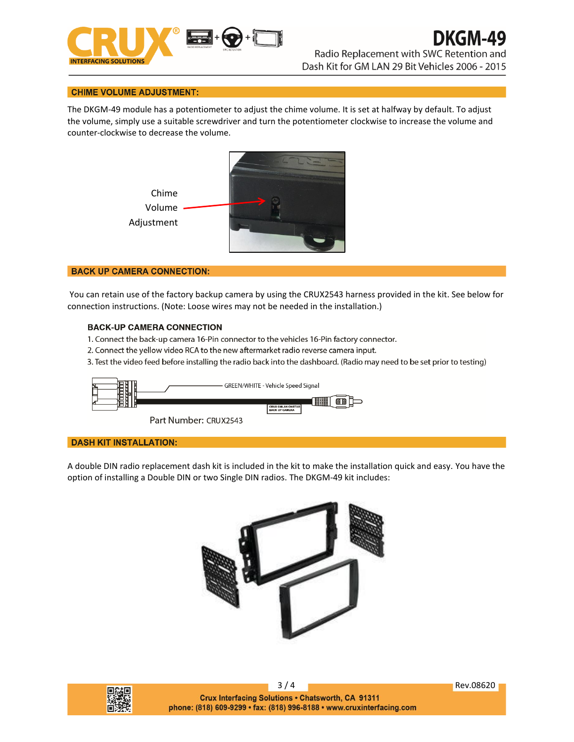

Dash Kit for GM LAN 29 Bit Vehicles 2006 - 2015

#### **CHIME VOLUME ADJUSTMENT:**

The DKGM-49 module has a potentiometer to adjust the chime volume. It is set at halfway by default. To adjust the volume, simply use a suitable screwdriver and turn the potentiometer clockwise to increase the volume and counter-clockwise to decrease the volume.



#### **BACK UP CAMERA CONNECTION:**

You can retain use of the factory backup camera by using the CRUX2543 harness provided in the kit. See below for connection instructions. (Note: Loose wires may not be needed in the installation.)

#### **BACK-UP CAMERA CONNECTION**

- 1. Connect the back-up camera 16-Pin connector to the vehicles 16-Pin factory connector.
- 2. Connect the yellow video RCA to the new aftermarket radio reverse camera input.
- 3. Test the video feed before installing the radio back into the dashboard. (Radio may need to be set prior to testing)



#### **DASH KIT INSTALLATION:**

A double DIN radio replacement dash kit is included in the kit to make the installation quick and easy. You have the option of installing a Double DIN or two Single DIN radios. The DKGM-49 kit includes: